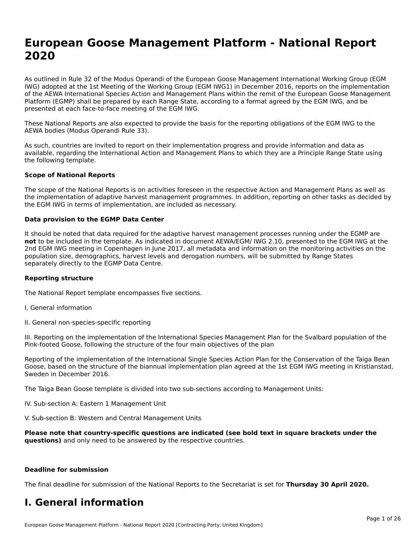# **European Goose Management Platform - National Report**European Goose Management Platform - National **Neport**<br>2020

As outlined in Rule 32 of the Modus Operandi of the European Goose Management International Working Group (EGM As buthled in Rule 32 of the Modus Operandi of the Lufopean Goose Management International Working Group (LGM<br>IWG) adopted at the 1st Meeting of the Working Group (EGM IWG1) in December 2016, reports on the implementation of the AEWA International Species Action and Management Plans within the remit of the European Goose Management Platform (EGMP) shall be prepared by each Range State, according to a format agreed by the EGM IWG, and be presented at each face-to-face meeting of the EGM IWG.

These National Reports are also expected to provide the basis for the reporting obligations of the EGM IWG to the AEWA bodies (Modus Operandi Rule 33).

As such, countries are invited to report on their implementation progress and provide information and data as<br>available, regarding the International Action and Management Plans to which they are a Principle Range State usi available, regarding the International Action and Management Plans to which they are a Principle Range State using the following template.

#### **Scope of National Reports**

The scope of the National Reports is on activities foreseen in the respective Action and Management Plans as well as The scope of the National Reports is on activities foreseen in the respective Action and Management Plans as well as<br>the implementation of adaptive harvest management programmes. In addition, reporting on other tasks as de the EGM IWG in terms of implementation, are included as necessary.

#### **Data provision to the EGMP Data Center**

It should be noted that data required for the adaptive harvest management processes running under the EGMP are **not** to be included in the template. As indicated in document AEWA/EGM/ IWG 2.10, presented to the EGM IWG at the 2nd EGM IWG meeting in Copenhagen in June 2017, all metadata and information on the monitoring activities on the population size, demographics, harvest levels and derogation numbers, will be submitted by Range States separately directly to the EGMP Data Centre.

#### **Reporting structure**

The National Report template encompasses five sections.

- I. General information
- II. General non-species-specific reporting

III. Reporting on the implementation of the International Species Management Plan for the Svalbard population of the

Reporting of the implementation of the International Single Species Action Plan for the Conservation of the Taiga Bean Reporting of the implementation of the international single species Action Fram for the conservation of the laiga beam<br>Goose, based on the structure of the biannual implementation plan agreed at the 1st EGM IWG meeting in

The Taiga Bean Goose template is divided into two sub-sections according to Management Units:

IV. Sub-section A: Eastern 1 Management Unit

V. Sub-section B: Western and Central Management Units

**Please note that country-specific questions are indicated (see bold text in square brackets under the questions)** and only need to be answered by the respective countries.

#### **Deadline for submission**

The final deadline for submission of the National Reports to the Secretariat is set for **Thursday 30 April 2020.**

#### **I. General information**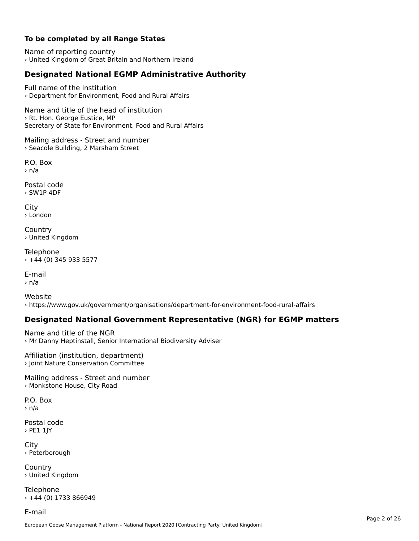### **To be completed by all Range States**

Name of reporting country › United Kingdom of Great Britain and Northern Ireland

# **Designated National EGMP Administrative Authority**

Full name of the institution› Department for Environment, Food and Rural Affairs

Name and title of the head of institution › Rt. Hon. George Eustice, MP Secretary of State for Environment, Food and Rural Affairs

Mailing address - Street and number › Seacole Building, 2 Marsham Street

P.O. Box› n/a

Postal code › SW1P 4DF

City › London

**Country** › United Kingdom

Telephone › +44 (0) 345 933 5577

E-mail› n/a

Website› https://www.gov.uk/government/organisations/department-for-environment-food-rural-affairs

### **Designated National Government Representative (NGR) for EGMP matters**

Name and title of the NGR › Mr Danny Heptinstall, Senior International Biodiversity Adviser

Affiliation (institution, department) › Joint Nature Conservation Committee

Mailing address - Street and number › Monkstone House, City Road

P.O. Box› n/a

Postal code › PE1 1JY

**City** › Peterborough

**Country** › United Kingdom

Telephone  $+44$  (0) 1733 866949

E-mail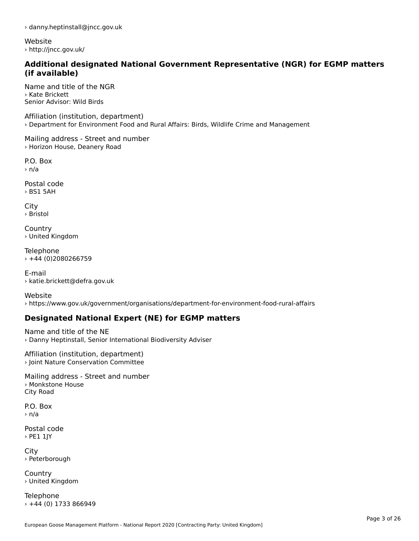› danny.heptinstall@jncc.gov.uk

Website › http://jncc.gov.uk/

#### **Additional designated National Government Representative (NGR) for EGMP matters (if available)**

Name and title of the NGR› Kate BrickettSenior Advisor: Wild Birds

Affiliation (institution, department) › Department for Environment Food and Rural Affairs: Birds, Wildlife Crime and Management

Mailing address - Street and number › Horizon House, Deanery Road

P.O. Box › n/a

Postal code› BS1 5AH

City › Bristol

**Country** › United Kingdom

Telephone › +44 (0)2080266759

E-mail› katie.brickett@defra.gov.uk

Website› https://www.gov.uk/government/organisations/department-for-environment-food-rural-affairs

# **Designated National Expert (NE) for EGMP matters**

Name and title of the NE› Danny Heptinstall, Senior International Biodiversity Adviser

Affiliation (institution, department) › Joint Nature Conservation Committee

Mailing address - Street and number › Monkstone House City Road

P.O. Box› n/a

Postal code › PE1 1JY

City › Peterborough

**Country** › United Kingdom

Telephone › +44 (0) 1733 866949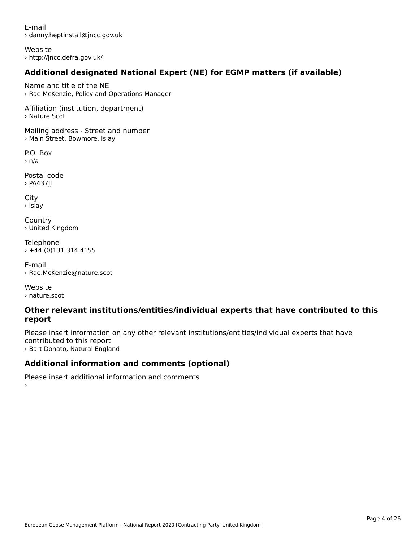E-mail› danny.heptinstall@jncc.gov.uk

Website › http://jncc.defra.gov.uk/

# **Additional designated National Expert (NE) for EGMP matters (if available)**

Name and title of the NE › Rae McKenzie, Policy and Operations Manager

Affiliation (institution, department) › Nature.Scot

Mailing address - Street and number › Main Street, Bowmore, Islay

P.O. Box › n/a

Postal code› PA437JJ

City › Islay

**Country** › United Kingdom

Telephone › +44 (0)131 314 4155

E-mail› Rae.McKenzie@nature.scot

Website› nature.scot

›

#### **Other relevant institutions/entities/individual experts that have contributed to this report**report

Please insert information on any other relevant institutions/entities/individual experts that have contributed to this report › Bart Donato, Natural England

# **Additional information and comments (optional)**

Please insert additional information and comments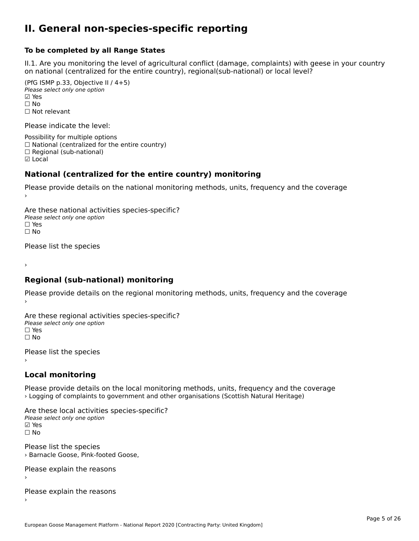#### **II. General non-species-specific reporting**

#### **To be completed by all Range States**

II.1. Are you monitoring the level of agricultural conflict (damage, complaints) with geese in your country n.i. Are you monitoring the lever or agricultural connict (damage, complaints) with g<br>on national (centralized for the entire country), regional(sub-national) or local level?

(PfG ISMP p.33, Objective II  $(4+5)$ ) Please select only one option ☑ Yes**☑ Yes**<br>□ No □ No<br>□ Not relevant

Please indicate the level:

Possibility for multiple options  $\Box$  National (centralized for the entire country)  $\Box$  Regional (sub-national) ☑ Local

#### **National (centralized for the entire country) monitoring**

Please provide details on the national monitoring methods, units, frequency and the coverage

Are these national activities species-specific? Please select only one optionPlease select only one option<br>□ Yes ☐ No $\Box$  No

Please list the species

›

#### **Regional (sub-national) monitoring**

Please provide details on the regional monitoring methods, units, frequency and the coverage

Are these regional activities species-specific? ∩ne these regional activ<br>Please select only one option □ Yes<br>□ No

Please list the species ›

#### **Local monitoring**

Please provide details on the local monitoring methods, units, frequency and the coverage › Logging of complaints to government and other organisations (Scottish Natural Heritage)

Are these local activities species-specific? ∧ne enese local decrimed.<br>Please select only one option ☐ No

Please list the species ricase iist the speeles<br>› Barnacle Goose, Pink-footed Goose,

Please explain the reasons

Please explain the reasons ›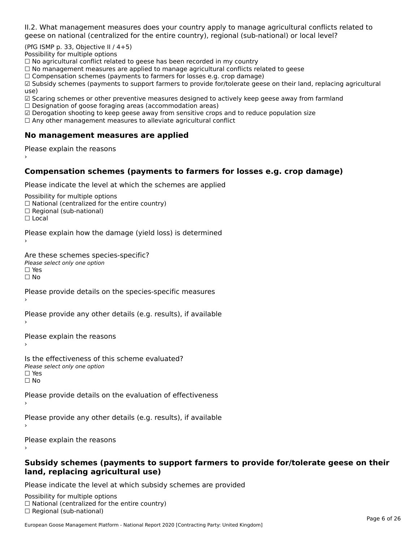II.2. What management measures does your country apply to manage agricultural conflicts related to

(PfG ISMP p. 33, Objective II  $/$  4+5)

Possibility for multiple options

™assionicy for maltiple options<br>□ No agricultural conflict related to geese has been recorded in my country

 $\Box$  No management measures are applied to manage agricultural conflicts related to geese

□ No management measures are applied to manage agricultural connicts rela<br>□ Compensation schemes (payments to farmers for losses e.g. crop damage)

□ Compensation schemes (payments to farmers for losses e.g. crop damage)<br>□ Subsidy schemes (payments to support farmers to provide for/tolerate geese on their land, replacing agricultural use)

use)<br>☑ Scaring schemes or other preventive measures designed to actively keep geese away from farmland

 $\Box$  Designation of goose foraging areas (accommodation areas)

□ Designation or goose foraging areas (accommodation areas)<br>□ Derogation shooting to keep geese away from sensitive crops and to reduce population size

 $\Box$  Any other management measures to alleviate agricultural conflict

### **No management measures are applied**

Please explain the reasons ›

## **Compensation schemes (payments to farmers for losses e.g. crop damage)**

Please indicate the level at which the schemes are applied

Possibility for multiple options rossibility for multiple options<br>□ National (centralized for the entire country) □ National (centralized io<br>□ Regional (sub-national)

☐ Local

Please explain how the damage (yield loss) is determined

Are these schemes species-specific?∩ne these senemes spee<br>Please select only one option □ Yes<br>□ No

Please provide details on the species-specific measures

Please provide any other details (e.g. results), if available

Please explain the reasons

Is the effectiveness of this scheme evaluated?Please select only one option☐ Yes☐ No

Please provide details on the evaluation of effectiveness

Please provide any other details (e.g. results), if available

Please explain the reasons

#### **Subsidy schemes (payments to support farmers to provide for/tolerate geese on their land, replacing agricultural use)**

Please indicate the level at which subsidy schemes are provided

Possibility for multiple options гозывниу тог нингріе орноть<br>□ National (centralized for the entire country)  $\Box$  Regional (sub-national)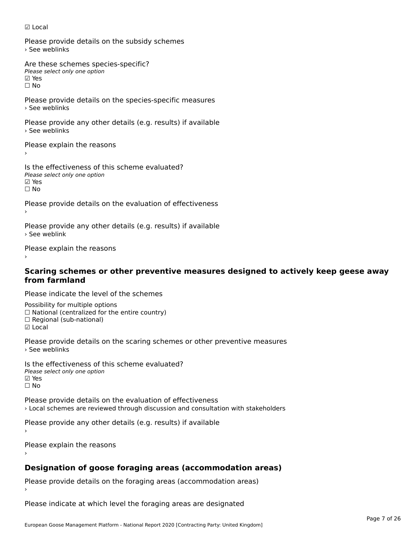#### ☑ Local

Please provide details on the subsidy schemes › See weblinks

Are these schemes species-specific?∧e chese senemes spee<br>Please select only one option ⊠ Yes<br>□ No

Please provide details on the species-specific measures › See weblinks

Please provide any other details (e.g. results) if available › See weblinks

Please explain the reasons

Is the effectiveness of this scheme evaluated? □ CHECONCHESS OF C<br>Please select only one option ☐ No

Please provide details on the evaluation of effectiveness

Please provide any other details (e.g. results) if available › See weblink

Please explain the reasons

# **Scaring schemes or other preventive measures designed to actively keep geese away from farmland**

Please indicate the level of the schemes

Possibility for multiple options ™assibility for multiple options<br>□ National (centralized for the entire country) □ National (centralized io<br>□ Regional (sub-national) ☑ Local

Please provide details on the scaring schemes or other preventive measures › See weblinks

Is the effectiveness of this scheme evaluated?Please select only one option ☑ Yes☐ No

Please provide details on the evaluation of effectiveness› Local schemes are reviewed through discussion and consultation with stakeholders

Please provide any other details (e.g. results) if available

Please explain the reasons

# **Designation of goose foraging areas (accommodation areas)**

Please provide details on the foraging areas (accommodation areas)

Please indicate at which level the foraging areas are designated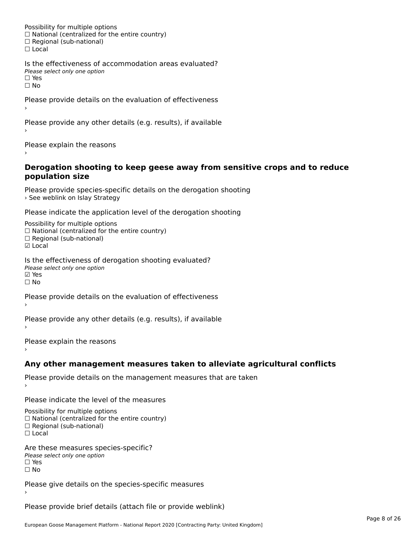Possibility for multiple options rossibility for multiple options<br>□ National (centralized for the entire country) □ National (centralized io<br>□ Regional (sub-national) ☐ Local

Is the effectiveness of accommodation areas evaluated?□ CITC CITCCITCITESS OF Q<br>Please select only one option  $\square$  Yes ☐ No

Please provide details on the evaluation of effectiveness

Please provide any other details (e.g. results), if available

Please explain the reasons

#### **Derogation shooting to keep geese away from sensitive crops and to reduce population size**population size

Please provide species-specific details on the derogation shooting *See weblink on Islay Strategy* > See weblink on Islay Strategy

Please indicate the application level of the derogation shooting

Possibility for multiple options rossibility for multiple options<br>□ National (centralized for the entire country) □ National (centralized io<br>□ Regional (sub-national)

☑ Local

Is the effectiveness of derogation shooting evaluated? Please select only one option riease<br>☑ Yes ☐ No

Please provide details on the evaluation of effectiveness

Please provide any other details (e.g. results), if available

Please explain the reasons

### **Any other management measures taken to alleviate agricultural conflicts**

Please provide details on the management measures that are taken

Please indicate the level of the measures

Possibility for multiple options rossibility for multiple options<br>□ National (centralized for the entire country) □ National (centralized io<br>□ Regional (sub-national)

☐ Local

Are these measures species-specific? ric criese measures spe<br>Please select only one option *riease*<br>□ Yes ☐ No

Please give details on the species-specific measures

Please provide brief details (attach file or provide weblink)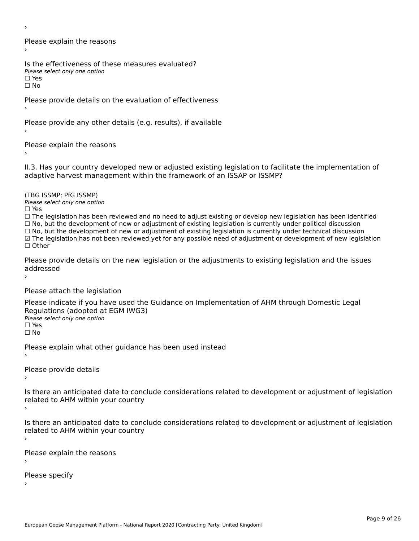›

Please explain the reasons›

Is the effectiveness of these measures evaluated? Please select only one option

☐ Yesים וכ∍<br>⊡ No

Please provide details on the evaluation of effectiveness

Please provide any other details (e.g. results), if available

Please explain the reasons

II.3. Has your country developed new or adjusted existing legislation to facilitate the implementation of

(TBG ISSMP; PfG ISSMP)Please select only one option ☐ Yes

☐ The legislation has been reviewed and no need to adjust existing or develop new legislation has been identified  $\Box$  The regislation has been reviewed and no need to adjust existing or develop hew regislation has been identify and  $\Box$  No, but the development of new or adjustment of existing legislation is currently under political

□ No, but the development of new or adjustment of existing legislation is currently under political discussion<br>□ No, but the development of new or adjustment of existing legislation is currently under technical discussion

☑ The legislation has not been reviewed yet for any possible need of adjustment or development of new legislation

☐ Other

Please provide details on the new legislation or the adjustments to existing legislation and the issues addressed

Please attach the legislation

Please indicate if you have used the Guidance on Implementation of AHM through Domestic Legal Piease indicate if you have used the<br>Regulations (adopted at EGM IWG3) Please select only one option ☐ Yes

☐ No

Please explain what other guidance has been used instead

Please provide details›

Is there an anticipated date to conclude considerations related to development or adjustment of legislation Proced to Arm within your country

Is there an anticipated date to conclude considerations related to development or adjustment of legislation is there are anticrpated date to control<br>related to AHM within your country

Please explain the reasons

Please specify›

European Goose Management Platform - National Report 2020 [Contracting Party: United Kingdom]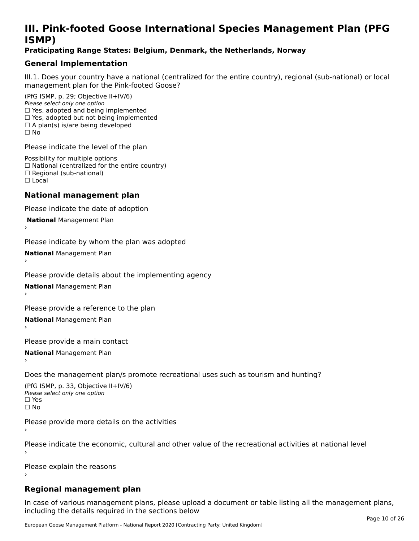# **III. Pink-footed Goose International Species Management Plan (PFG**III. FIIIN-IUULEU GUUSE IIILEI II**atiunai Species Management Fian (FTG**<br>ISMD)

#### **Praticipating Range States: Belgium, Denmark, the Netherlands, Norway**

# **General Implementation**

III.1. Does your country have a national (centralized for the entire country), regional (sub-national) or local

(PfG ISMP, p. 29; Objective II+IV/6) Please select only one option *Please select only one option*<br>□ Yes, adopted and being implemented  $\Box$  ies, adopted and being implemented<br> $\Box$  Yes, adopted but not being implemented  $\Box$  A plan(s) is/are being developed ☐ No

Please indicate the level of the plan

Possibility for multiple options rossibility for multiple options<br>□ National (centralized for the entire country) □ National (centralized io<br>□ Regional (sub-national) ☐ Local

#### **National management plan**

Please indicate the date of adoption

 **National** Management Plan

›

Please indicate by whom the plan was adopted

**National** Management Plan ›

Please provide details about the implementing agency

**National** Management Plan ›

Please provide a reference to the plan

**National** Management Plan ›

Please provide a main contact

**National** Management Plan ›

Does the management plan/s promote recreational uses such as tourism and hunting?

(PfG ISMP, p. 33, Objective II+IV/6) Please select only one optionPlease select only one option  $\square$  Yes ☐ No

Please provide more details on the activities

Please indicate the economic, cultural and other value of the recreational activities at national level

Please explain the reasons

### **Regional management plan**

In case of various management plans, please upload a document or table listing all the management plans, $\frac{1}{2}$  case of various management plans, please uploa including the details required in the sections below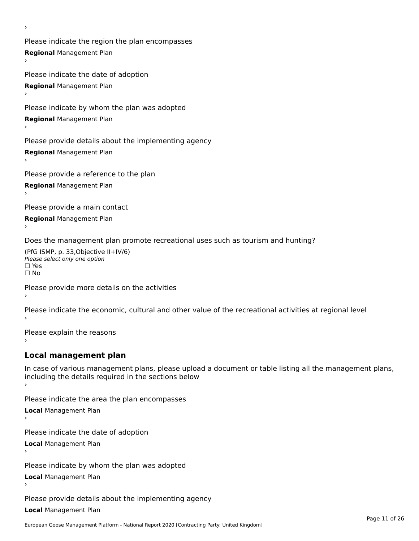Please indicate the region the plan encompasses **Regional** Management Plan

Please indicate the date of adoption **Regional** Management Plan ›

Please indicate by whom the plan was adopted

**Regional** Management Plan

›

Please provide details about the implementing agency

**Regional** Management Plan

Please provide a reference to the plan

**Regional** Management Plan

Please provide a main contact

**Regional** Management Plan

Does the management plan promote recreational uses such as tourism and hunting?

(PfG ISMP, p. 33,Objective II+IV/6) ∩∩ וויוכו פון<br>Please select only one option<br>□ Yes □ Yes<br>□ No

Please provide more details on the activities

Please indicate the economic, cultural and other value of the recreational activities at regional level

Please explain the reasons ›

### **Local management plan**

In case of various management plans, please upload a document or table listing all the management plans, In case of various management plans, please uploa<br>including the details required in the sections below

Please indicate the area the plan encompasses

**Local** Management Plan

Please indicate the date of adoption

**Local** Management Plan›

Please indicate by whom the plan was adopted

**Local** Management Plan

Please provide details about the implementing agency

**Local** Management Plan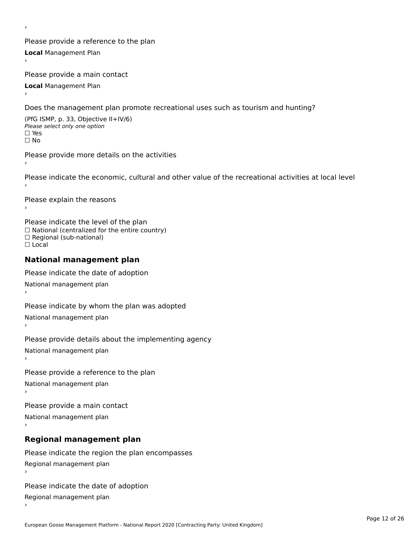Please provide a reference to the plan **Local** Management Plan

Please provide a main contact

**Local** Management Plan

›

Does the management plan promote recreational uses such as tourism and hunting?

(PfG ISMP, p. 33, Objective II+IV/6) Please select only one option☐ Yes☐ No

Please provide more details on the activities›

Please indicate the economic, cultural and other value of the recreational activities at local level

Please explain the reasons ›

Please indicate the level of the plan ∩ease marcate the lever of the plan<br>□ National (centralized for the entire country) □ National (centralized io<br>□ Regional (sub-national) ☐ Local

#### **National management plan**

Please indicate the date of adoption National management plan

Please indicate by whom the plan was adopted National management plan ›

Please provide details about the implementing agency

National management plan

Please provide a reference to the plan

National management plan

Please provide a main contact

National management plan

# **Regional management plan**

Please indicate the region the plan encompasses Regional management plan

Please indicate the date of adoption

Regional management plan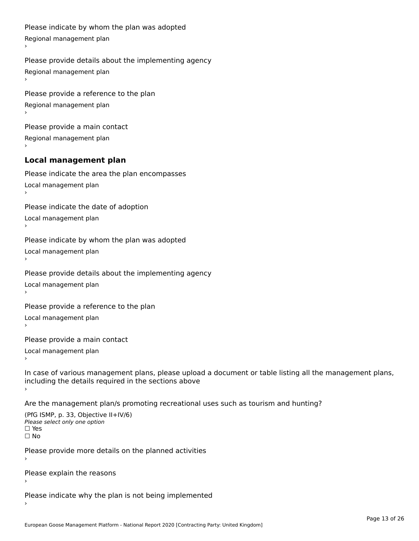```
Please indicate by whom the plan was adopted Regional management plan
Please provide details about the implementing agency Regional management plan
Please provide a reference to the plan Regional management plan
Please provide a main contact Regional management plan
Local management plan
Please indicate the area the plan encompasses Local management plan›Please indicate the date of adoption Local management planا<br>ا
Please indicate by whom the plan was adopted Local management plan›Please provide details about the implementing agency Local management planا<br>ا
Please provide a reference to the plan Local management plan›Please provide a main contact Local management planا<br>ا
In case of various management plans, please upload a document or table listing all the management plans,in case or various management plans, please upload
including the details required in the sections above
```
Are the management plan/s promoting recreational uses such as tourism and hunting?

```
(PfG ISMP, p. 33, Objective II+IV/6)
Please select only one option☐ Yes☐ No
```
Please provide more details on the planned activities

Please explain the reasons›

Please indicate why the plan is not being implemented›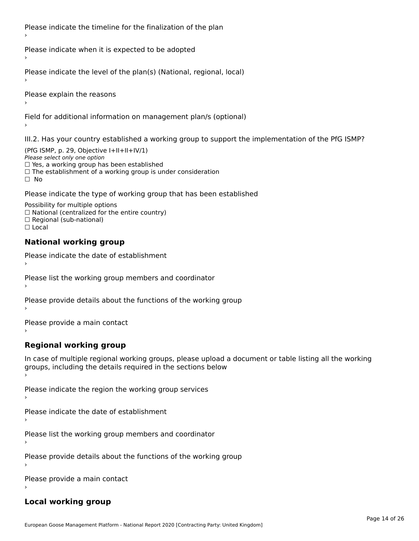Please indicate the timeline for the finalization of the plan

Please indicate when it is expected to be adopted

Please indicate the level of the plan(s) (National, regional, local)

Please explain the reasons

Field for additional information on management plan/s (optional)

III.2. Has your country established a working group to support the implementation of the PfG ISMP?

(PfG ISMP, p. 29, Objective I+II+II+IV/1)Please select only one option □ Yes, a working group has been established □ Tes, a working group has been established<br>□ The establishment of a working group is under consideration

Please indicate the type of working group that has been established

Possibility for multiple options ™assibility for multiple options<br>□ National (centralized for the entire country) □ National (centralized io<br>□ Regional (sub-national)  $\Box$  Local

#### **National working group**

›

Please indicate the date of establishment

Please list the working group members and coordinator ›

Please provide details about the functions of the working group ›

Please provide a main contact ›

**Regional working group**

In case of multiple regional working groups, please upload a document or table listing all the working In case of multiple regional working groups, please upload a<br>groups, including the details required in the sections below

Please indicate the region the working group services ›

Please indicate the date of establishment ›

Please list the working group members and coordinator ›

Please provide details about the functions of the working group ›

Please provide a main contact ›

### **Local working group**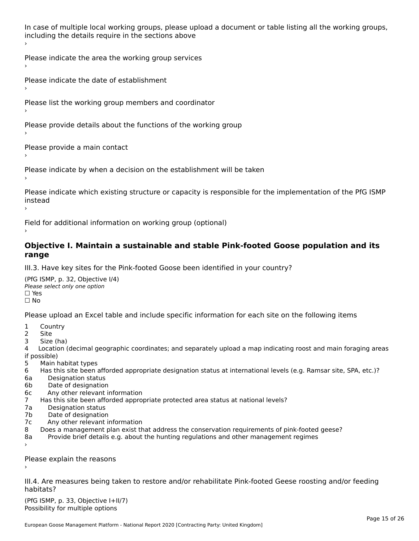In case of multiple local working groups, please upload a document or table listing all the working groups, in case of multiple local working groups, please up ›

Please indicate the area the working group services ›

Please indicate the date of establishment ›

Please list the working group members and coordinator

›

Please provide details about the functions of the working group ›

Please provide a main contact ›

Please indicate by when a decision on the establishment will be taken

Please indicate which existing structure or capacity is responsible for the implementation of the PfG ISMP instead<br>Seatsead ›

Field for additional information on working group (optional)

#### **Objective I. Maintain a sustainable and stable Pink-footed Goose population and its range**range

III.3. Have key sites for the Pink-footed Goose been identified in your country?

(PfG ISMP, p. 32, Objective I/4)Please select only one option ☐ Yes☐ No

Please upload an Excel table and include specific information for each site on the following items

- $1 \quad \alpha$
- 2 Site
- 2 Site<br>3 Size (ha)

د حدد una<br>4 Location (decimal geographic coordinates; and separately upload a map indicating roost and main foraging areas 4 Location<br>if possible)

- 5 Main habitat types
- 6 Has this site been afforded appropriate designation status at international levels (e.g. Ramsar site, SPA, etc.)? 6. Bestweetter status
- 6a Designation status<br>6b Date of designation
- 
- 6c Any other relevant information
- 7 Has this site been afforded appropriate protected area status at national levels? 7a Designation status
- 7a Designation status<br>7b Date of designation
- 
- 7c Any other relevant information
- 8 Does a management plan exist that address the conservation requirements of pink-footed geese?
- 8a Provide brief details e.g. about the hunting regulations and other management regimes ›

Please explain the reasons

III.4. Are measures being taken to restore and/or rehabilitate Pink-footed Geese roosting and/or feeding habitats?

 $(PCI GMP, p. 33, Qb)$  is the I+II/7) Possibility for multiple optionsPossibility for multiple options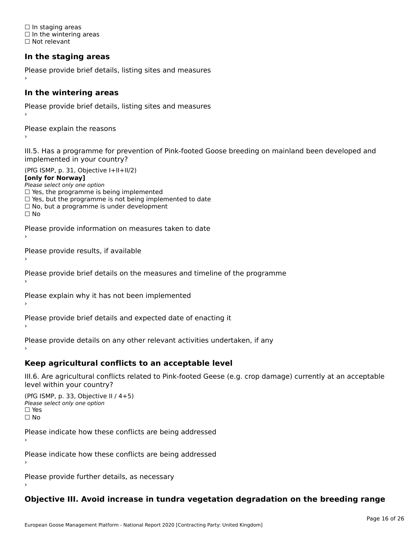☐ In staging areas □ in staging areas<br>□ In the wintering areas ☐ Not relevant

# **In the staging areas**

```
Please provide brief details, listing sites and measures ›
```
#### **In the wintering areas**

Please provide brief details, listing sites and measures ›

Please explain the reasons

III.5. Has a programme for prevention of Pink-footed Goose breeding on mainland been developed and implemented in your country?

(PfG ISMP, p. 31, Objective I+II+II/2)

**[only for Norway]**

Please select only one option riease select only one option<br>□ Yes, the programme is being implemented

 $\Box$  ies, the programme is being implemented to date  $\Box$  Yes, but the programme is not being implemented to date

 $\Box$  No, but a programme is under development

Please provide information on measures taken to date

Please provide results, if available

Please provide brief details on the measures and timeline of the programme

Please explain why it has not been implemented

Please provide brief details and expected date of enacting it

Please provide details on any other relevant activities undertaken, if any›

**Keep agricultural conflicts to an acceptable level**

III.6. Are agricultural conflicts related to Pink-footed Geese (e.g. crop damage) currently at an acceptable

(PfG ISMP, p. 33, Objective II  $(4+5)$ ) Please select only one option ☐ Yes☐ No

Please indicate how these conflicts are being addressed

Please indicate how these conflicts are being addressed›

Please provide further details, as necessary ›

# **Objective III. Avoid increase in tundra vegetation degradation on the breeding range**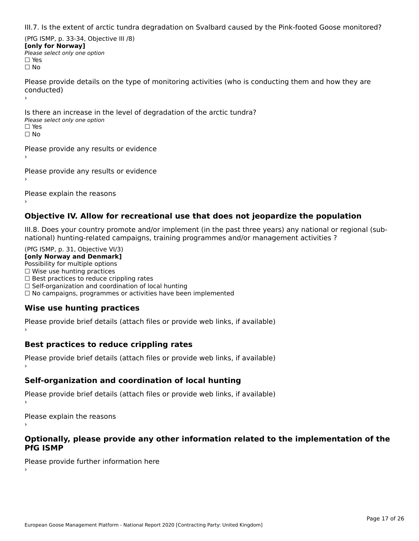III.7. Is the extent of arctic tundra degradation on Svalbard caused by the Pink-footed Goose monitored?

(PfG ISMP, p. 33-34, Objective III /8) **[only for Norway] Please select only one option** □ Yes<br>□ No

Please provide details on the type of monitoring activities (who is conducting them and how they are riease prov ›

Is there an increase in the level of degradation of the arctic tundra? □ CitCre dir increduce in c<br>Please select only one option □ Yes<br>□ No

Please provide any results or evidence

Please provide any results or evidence

Please explain the reasons

›

#### **Objective IV. Allow for recreational use that does not jeopardize the population**

III.8. Does your country promote and/or implement (in the past three years) any national or regional (sub $m.6.198$  your country promove and/or miplement (in the past time years) any national or

(PfG ISMP, p. 31, Objective VI/3) **[only Norway and Denmark]** Possibility for multiple options ☐ Wise use hunting practices  $\Box$  wise use numing practices<br> $\Box$  Best practices to reduce crippling rates □ Best practices to reduce crippinig rates<br>□ Self-organization and coordination of local hunting □ Sen-organization and coordination or local nunting<br>□ No campaigns, programmes or activities have been implemented

# **Wise use hunting practices**

Please provide brief details (attach files or provide web links, if available) ›

# **Best practices to reduce crippling rates**

Please provide brief details (attach files or provide web links, if available)

# **Self-organization and coordination of local hunting**

Please provide brief details (attach files or provide web links, if available)

Please explain the reasons

#### **Optionally, please provide any other information related to the implementation of the PfG ISMP**

Please provide further information here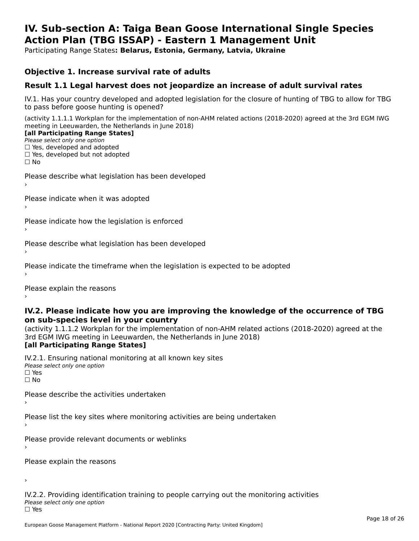#### **IV. Sub-section A: Taiga Bean Goose International Single Species Action Plan (TBG ISSAP) - Eastern 1 Management UnitAction Plan (TBG ISSAP) - Eastern 1 Management Unit**

Participating Range States**: Belarus, Estonia, Germany, Latvia, Ukraine** 

### **Objective 1. Increase survival rate of adults**

### **Result 1.1 Legal harvest does not jeopardize an increase of adult survival rates**

IV.1. Has your country developed and adopted legislation for the closure of hunting of TBG to allow for TBG IV.1. Thas your country developed and add<br>to pass before goose hunting is opened?

(activity 1.1.1.1 Workplan for the implementation of non-AHM related actions (2018-2020) agreed at the 3rd EGM IWG meeting in Leeuwarden, the Netherlands in June 2018) **[all Participating Range States]**

#### [all Participating Range States]

Please select only one option ☐ Yes, developed and adopted

☐ Yes, developed but not adopted

 $\Box$  ies, developed but not adopted

Please describe what legislation has been developed

Please indicate when it was adopted

Please indicate how the legislation is enforced

Please describe what legislation has been developed

Please indicate the timeframe when the legislation is expected to be adopted

Please explain the reasons

#### **IV.2. Please indicate how you are improving the knowledge of the occurrence of TBG on sub-species level in your country**on sub-species level in your country

on sub-species fever in your country<br>(activity 1.1.1.2 Workplan for the implementation of non-AHM related actions (2018-2020) agreed at the **Brd EGM IWG meeting in Leeuwarden, the Netherlands in June 2018)** 

#### [all Participating Range States]

IV.2.1. Ensuring national monitoring at all known key sites <del>■ Western Chroning</del> Hational<br>Please select only one option  $\square$  Yes ☐ No

Please describe the activities undertaken

Please list the key sites where monitoring activities are being undertaken

Please provide relevant documents or weblinks

Please explain the reasons

›

IV.2.2. Providing identification training to people carrying out the monitoring activities <del>■ Western Fortung</del> Recrement<br>Please select only one option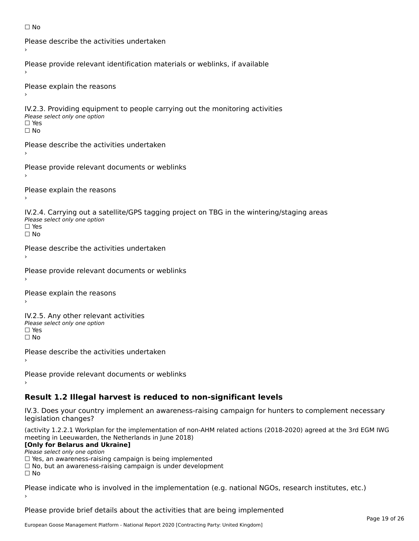```
☐ No
```

```
Please describe the activities undertaken›Please provide relevant identification materials or weblinks, if available
Please explain the reasons
IV.2.3. Providing equipment to people carrying out the monitoring activities
Please select only one option
☐ Yes□ Yes<br>□ No
Please describe the activities undertaken›Please provide relevant documents or weblinks
Please explain the reasons
IV.2.4. Carrying out a satellite/GPS tagging project on TBG in the wintering/staging areas
<del>∩</del><br>Please select only one option
□ Yes<br>□ No
Please describe the activities undertaken›Please provide relevant documents or weblinks
Please explain the reasons
IV.2.5. Any other relevant activities
Please select only one option
☐ Yes□ Yes<br>□ No
Please describe the activities undertaken›Please provide relevant documents or weblinks
Result 1.2 Illegal harvest is reduced to non-significant levels
```
IV.3. Does your country implement an awareness-raising campaign for hunters to complement necessary rv.5. Does your court<br>legislation changes?

(activity 1.2.2.1 Workplan for the implementation of non-AHM related actions (2018-2020) agreed at the 3rd EGM IWG meeting in Leeuwarden, the Netherlands in June 2018)

#### **[Only for Belarus and Ukraine]**

Please select only one option

riease select only one option<br>□ Yes, an awareness-raising campaign is being implemented<br>□ Yes, an awareness-raising campaign is under development

□ No, but an awareness-raising campaign is under development<br>□ N。

Please indicate who is involved in the implementation (e.g. national NGOs, research institutes, etc.)

Please provide brief details about the activities that are being implemented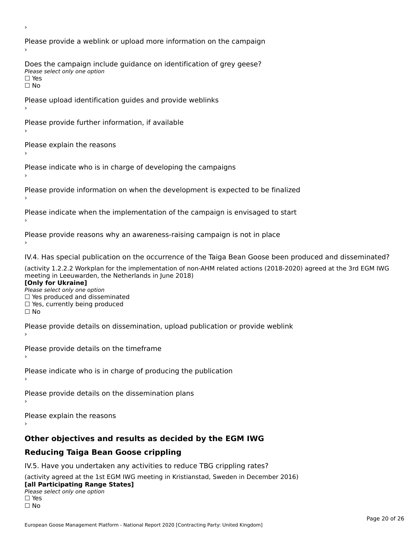Please provide a weblink or upload more information on the campaign Does the campaign include guidance on identification of grey geese? Please select only one option<br>□ Yes □ Yes<br>□ No Please upload identification guides and provide weblinks Please provide further information, if available Please explain the reasons Please indicate who is in charge of developing the campaigns Please provide information on when the development is expected to be finalized Please indicate when the implementation of the campaign is envisaged to start Please provide reasons why an awareness-raising campaign is not in place IV.4. Has special publication on the occurrence of the Taiga Bean Goose been produced and disseminated? (activity 1.2.2.2 Workplan for the implementation of non-AHM related actions (2018-2020) agreed at the 3rd EGM IWG **[Only for Ukraine] □ Yes produced and disseminated**<br>Please select only one option  $\Box$  ies produced and disseminated  $\Box$  ies, currently being produced Please provide details on dissemination, upload publication or provide weblink Please provide details on the timeframe Please indicate who is in charge of producing the publication Please provide details on the dissemination plans Please explain the reasons **Other objectives and results as decided by the EGM IWG Reducing Taiga Bean Goose crippling** IV.5. Have you undertaken any activities to reduce TBG crippling rates? (activity agreed at the 1st EGM IWG meeting in Kristianstad, Sweden in December 2016)

#### **[all Participating Range States]**[all Participating Range States]

**Law Tarticipating Range**<br>Please select only one option

□ Yes<br>□ No

›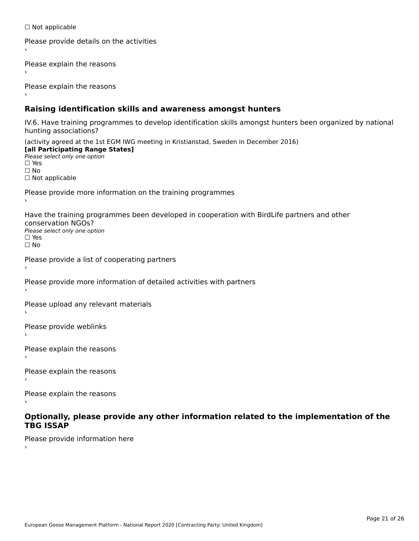☐ Not applicable

```
Please provide details on the activities
```
Please explain the reasons

Please explain the reasons

### **Raising identification skills and awareness amongst hunters**

IV.6. Have training programmes to develop identification skills amongst hunters been organized by national rv.o. riave training pro<br>hunting associations?

(activity agreed at the 1st EGM IWG meeting in Kristianstad, Sweden in December 2016) **[all Participating Range States]**[all Participating Range States] **Lan Tarticipating Range**<br>Please select only one option ☐ Yes☐ No□ Not applicable

Please provide more information on the training programmes

Have the training programmes been developed in cooperation with BirdLife partners and other conservation NGOs?Please select only one option☐ Yes☐ No

```
Please provide a list of cooperating partners
```
Please provide more information of detailed activities with partners

Please upload any relevant materials

Please provide weblinks

Please explain the reasons

Please explain the reasons›

Please explain the reasons

#### **Optionally, please provide any other information related to the implementation of the TBG ISSAPTBG ISSAP**

Please provide information here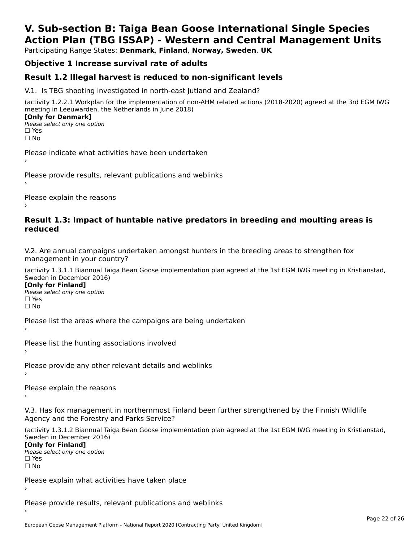# **V. Sub-section B: Taiga Bean Goose International Single SpeciesAction Plan (TBG ISSAP) - Western and Central Management Units**

Participating Range States: **Denmark**, **Finland**, **Norway, Sweden**, **UK**

# **Objective 1 Increase survival rate of adults**

### **Result 1.2 Illegal harvest is reduced to non-significant levels**

V.1. Is TBG shooting investigated in north-east Jutland and Zealand?

(activity 1.2.2.1 Workplan for the implementation of non-AHM related actions (2018-2020) agreed at the 3rd EGM IWG meeting in Leeuwarden, the Netherlands in June 2018) **[Only for Denmark] LOTTLY TOT DETITIONS**<br>Please select only one option

*riease*<br>□ Yes<br>□ No

Please indicate what activities have been undertaken›

Please provide results, relevant publications and weblinks ›

Please explain the reasons

#### **Result 1.3: Impact of huntable native predators in breeding and moulting areas is reduced**

V.2. Are annual campaigns undertaken amongst hunters in the breeding areas to strengthen fox v.z. Are annual campaigns und<br>management in your country?

(activity 1.3.1.1 Biannual Taiga Bean Goose implementation plan agreed at the 1st EGM IWG meeting in Kristianstad, Sweden in December 2016)

**[Only for Finland]** Please select only one optionriease<br>□ Yes □ Yes<br>□ No

Please list the areas where the campaigns are being undertaken

Please list the hunting associations involved

Please provide any other relevant details and weblinks ›

Please explain the reasons›

V.3. Has fox management in northernmost Finland been further strengthened by the Finnish Wildlife v.5. Has fox management in northernmost F<br>Agency and the Forestry and Parks Service?

(activity 1.3.1.2 Biannual Taiga Bean Goose implementation plan agreed at the 1st EGM IWG meeting in Kristianstad, Sweden in December 2016) Sweden in December 2016)

[Only for Finland]

**Please select only one option** □ Yes<br>□ No

Please explain what activities have taken place

Please provide results, relevant publications and weblinks ›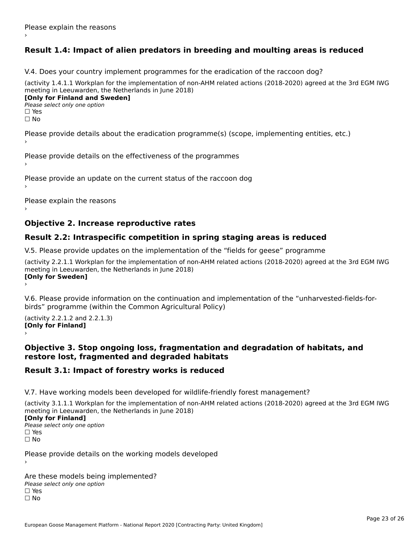# **Result 1.4: Impact of alien predators in breeding and moulting areas is reduced**

V.4. Does your country implement programmes for the eradication of the raccoon dog?

(activity 1.4.1.1 Workplan for the implementation of non-AHM related actions (2018-2020) agreed at the 3rd EGM IWG meeting in Leeuwarden, the Netherlands in June 2018) **[Only for Finland and Sweden]**

**Please select only one option** 

□ Yes<br>□ No

Please provide details about the eradication programme(s) (scope, implementing entities, etc.)

Please provide details on the effectiveness of the programmes

Please provide an update on the current status of the raccoon dog

Please explain the reasons

### **Objective 2. Increase reproductive rates**

### **Result 2.2: Intraspecific competition in spring staging areas is reduced**

V.5. Please provide updates on the implementation of the "fields for geese" programme

(activity 2.2.1.1 Workplan for the implementation of non-AHM related actions (2018-2020) agreed at the 3rd EGM IWG meeting in Leeuwarden, the Netherlands in June 2018) Loury for Swedent

V.6. Please provide information on the continuation and implementation of the "unharvested-fields-forbirds" programme (within the Common Agricultural Policy)birds" programme (within the Common Agricultural Policy)

(activity 2.2.1.2 and 2.2.1.3) **[Only for Finland]** ›

#### **Objective 3. Stop ongoing loss, fragmentation and degradation of habitats, and restore lost, fragmented and degraded habitats**

## **Result 3.1: Impact of forestry works is reduced**

V.7. Have working models been developed for wildlife-friendly forest management?

(activity 3.1.1.1 Workplan for the implementation of non-AHM related actions (2018-2020) agreed at the 3rd EGM IWG meeting in Leeuwarden, the Netherlands in June 2018)

#### **[Only for Finland]**

**Please select only one option** □ Yes<br>□ No

Please provide details on the working models developed

Are these models being implemented? ∩ne enese moders being<br>Please select only one option □ Yes<br>□ No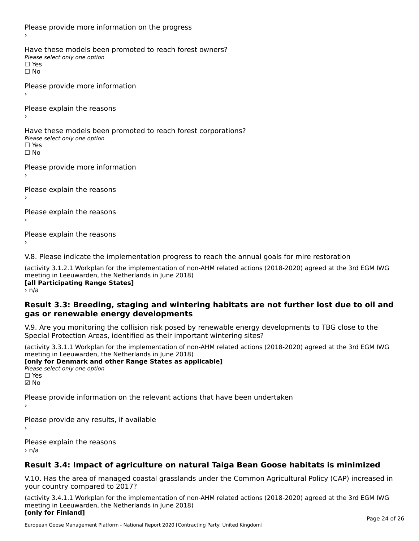Please provide more information on the progress Have these models been promoted to reach forest owners? ∩ave these models bee<br>Please select only one option □ Yes<br>□ No Please provide more information Please explain the reasons ›Have these models been promoted to reach forest corporations? ∩ave these models bee<br>Please select only one option □ Yes<br>□ No Please provide more information Please explain the reasons ›Please explain the reasons›Please explain the reasons›

V.8. Please indicate the implementation progress to reach the annual goals for mire restoration

(activity 3.1.2.1 Workplan for the implementation of non-AHM related actions (2018-2020) agreed at the 3rd EGM IWG meeting in Leeuwarden, the Netherlands in June 2018) **Inceding In Leeuwarden, the Nether**<br>[all Participating Range States]

> n/a

#### **Result 3.3: Breeding, staging and wintering habitats are not further lost due to oil and gas or renewable energy developments**gas or renewable energy developments

V.9. Are you monitoring the collision risk posed by renewable energy developments to TBG close to the Special Protection Areas, identified as their important wintering sites?

(activity 3.3.1.1 Workplan for the implementation of non-AHM related actions (2018-2020) agreed at the 3rd EGM IWG meeting in Leeuwarden, the Netherlands in June 2018) **[only for Denmark and other Range States as applicable]**

```
Please select only one option
☑ No
```
Please provide information on the relevant actions that have been undertaken ›

Please provide any results, if available

Please explain the reasons › n/a

# **Result 3.4: Impact of agriculture on natural Taiga Bean Goose habitats is minimized**

V.10. Has the area of managed coastal grasslands under the Common Agricultural Policy (CAP) increased in

(activity 3.4.1.1 Workplan for the implementation of non-AHM related actions (2018-2020) agreed at the 3rd EGM IWG meeting in Leeuwarden, the Netherlands in June 2018) **[only for Finland]**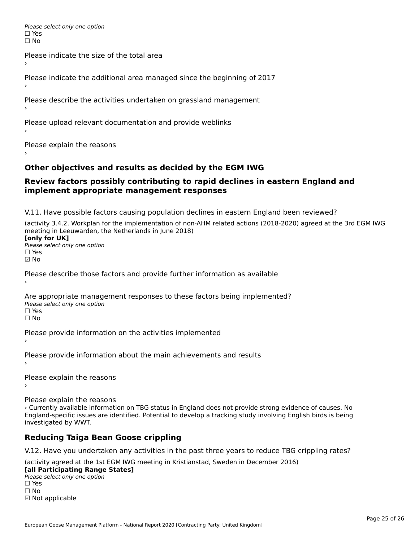Please select only one option □ Yes<br>□ No

Please indicate the size of the total area›

Please indicate the additional area managed since the beginning of 2017

Please describe the activities undertaken on grassland management

Please upload relevant documentation and provide weblinks

Please explain the reasons

### **Other objectives and results as decided by the EGM IWG**

#### **Review factors possibly contributing to rapid declines in eastern England and implement appropriate management responses**implement appropriate management responses

V.11. Have possible factors causing population declines in eastern England been reviewed?

(activity 3.4.2. Workplan for the implementation of non-AHM related actions (2018-2020) agreed at the 3rd EGM IWG meeting in Leeuwarden, the Netherlands in June 2018)<br>**[only for UK]** 

Please select only one option☐ Yes☑ No

Please describe those factors and provide further information as available

Are appropriate management responses to these factors being implemented? ric appropriace manage<br>Please select only one option ☐ Yesים<br>⊡ No

Please provide information on the activities implemented

Please provide information about the main achievements and results

Please explain the reasons

Please explain the reasons

› Currently available information on TBG status in England does not provide strong evidence of causes. No England-specific issues are identified. Potential to develop a tracking study involving English birds is being investigated by WWT.

# **Reducing Taiga Bean Goose crippling**

V.12. Have you undertaken any activities in the past three years to reduce TBG crippling rates?

(activity agreed at the 1st EGM IWG meeting in Kristianstad, Sweden in December 2016)

#### **[all Participating Range States]**

**Lan Farticipating Range**<br>Please select only one option ☐ Yes☐ No☑ Not applicable